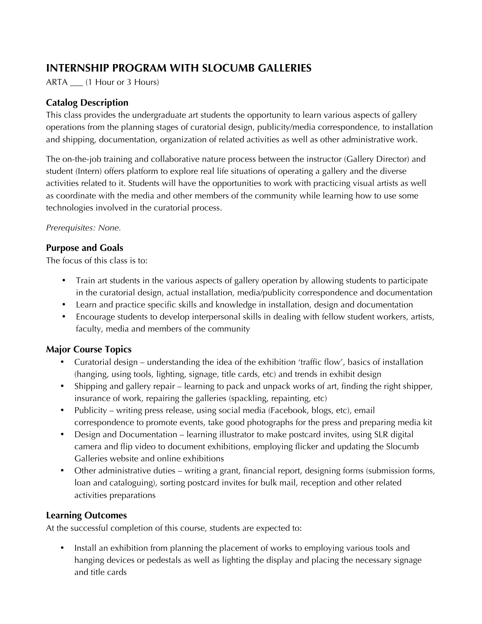# **INTERNSHIP PROGRAM WITH SLOCUMB GALLERIES**

ARTA \_\_\_ (1 Hour or 3 Hours)

## **Catalog Description**

This class provides the undergraduate art students the opportunity to learn various aspects of gallery operations from the planning stages of curatorial design, publicity/media correspondence, to installation and shipping, documentation, organization of related activities as well as other administrative work.

The on-the-job training and collaborative nature process between the instructor (Gallery Director) and student (Intern) offers platform to explore real life situations of operating a gallery and the diverse activities related to it. Students will have the opportunities to work with practicing visual artists as well as coordinate with the media and other members of the community while learning how to use some technologies involved in the curatorial process.

#### *Prerequisites: None.*

## **Purpose and Goals**

The focus of this class is to:

- Train art students in the various aspects of gallery operation by allowing students to participate in the curatorial design, actual installation, media/publicity correspondence and documentation
- Learn and practice specific skills and knowledge in installation, design and documentation
- Encourage students to develop interpersonal skills in dealing with fellow student workers, artists, faculty, media and members of the community

# **Major Course Topics**

- Curatorial design understanding the idea of the exhibition 'traffic flow', basics of installation (hanging, using tools, lighting, signage, title cards, etc) and trends in exhibit design
- Shipping and gallery repair learning to pack and unpack works of art, finding the right shipper, insurance of work, repairing the galleries (spackling, repainting, etc)
- Publicity writing press release, using social media (Facebook, blogs, etc), email correspondence to promote events, take good photographs for the press and preparing media kit
- Design and Documentation learning illustrator to make postcard invites, using SLR digital camera and flip video to document exhibitions, employing flicker and updating the Slocumb Galleries website and online exhibitions
- Other administrative duties writing a grant, financial report, designing forms (submission forms, loan and cataloguing), sorting postcard invites for bulk mail, reception and other related activities preparations

## **Learning Outcomes**

At the successful completion of this course, students are expected to:

• Install an exhibition from planning the placement of works to employing various tools and hanging devices or pedestals as well as lighting the display and placing the necessary signage and title cards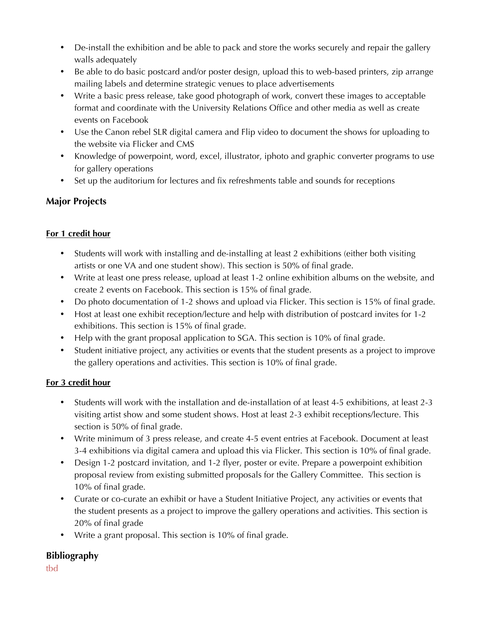- De-install the exhibition and be able to pack and store the works securely and repair the gallery walls adequately
- Be able to do basic postcard and/or poster design, upload this to web-based printers, zip arrange mailing labels and determine strategic venues to place advertisements
- Write a basic press release, take good photograph of work, convert these images to acceptable format and coordinate with the University Relations Office and other media as well as create events on Facebook
- Use the Canon rebel SLR digital camera and Flip video to document the shows for uploading to the website via Flicker and CMS
- Knowledge of powerpoint, word, excel, illustrator, iphoto and graphic converter programs to use for gallery operations
- Set up the auditorium for lectures and fix refreshments table and sounds for receptions

# **Major Projects**

## **For 1 credit hour**

- Students will work with installing and de-installing at least 2 exhibitions (either both visiting artists or one VA and one student show). This section is 50% of final grade.
- Write at least one press release, upload at least 1-2 online exhibition albums on the website, and create 2 events on Facebook. This section is 15% of final grade.
- Do photo documentation of 1-2 shows and upload via Flicker. This section is 15% of final grade.
- Host at least one exhibit reception/lecture and help with distribution of postcard invites for 1-2 exhibitions. This section is 15% of final grade.
- Help with the grant proposal application to SGA. This section is 10% of final grade.
- Student initiative project, any activities or events that the student presents as a project to improve the gallery operations and activities. This section is 10% of final grade.

## **For 3 credit hour**

- Students will work with the installation and de-installation of at least 4-5 exhibitions, at least 2-3 visiting artist show and some student shows. Host at least 2-3 exhibit receptions/lecture. This section is 50% of final grade.
- Write minimum of 3 press release, and create 4-5 event entries at Facebook. Document at least 3-4 exhibitions via digital camera and upload this via Flicker. This section is 10% of final grade.
- Design 1-2 postcard invitation, and 1-2 flyer, poster or evite. Prepare a powerpoint exhibition proposal review from existing submitted proposals for the Gallery Committee. This section is 10% of final grade.
- Curate or co-curate an exhibit or have a Student Initiative Project, any activities or events that the student presents as a project to improve the gallery operations and activities. This section is 20% of final grade
- Write a grant proposal. This section is 10% of final grade.

# **Bibliography**

tbd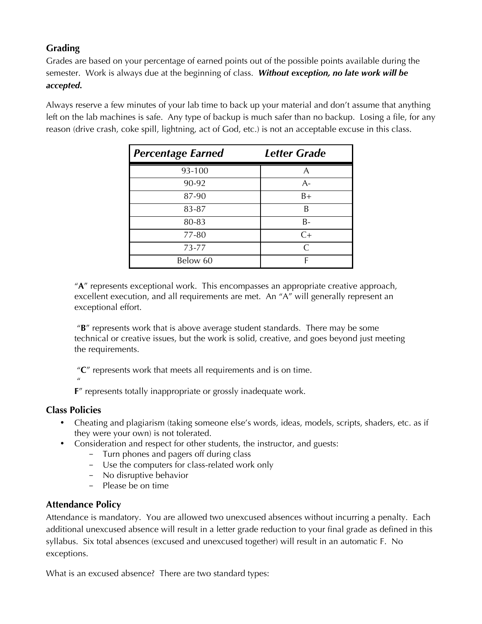# **Grading**

Grades are based on your percentage of earned points out of the possible points available during the semester. Work is always due at the beginning of class. *Without exception, no late work will be accepted.* 

Always reserve a few minutes of your lab time to back up your material and don't assume that anything left on the lab machines is safe. Any type of backup is much safer than no backup. Losing a file, for any reason (drive crash, coke spill, lightning, act of God, etc.) is not an acceptable excuse in this class.

| <b>Percentage Earned</b> | <b>Letter Grade</b> |
|--------------------------|---------------------|
| 93-100                   | A                   |
| 90-92                    | $A-$                |
| 87-90                    | B+                  |
| 83-87                    | R                   |
| 80-83                    | $B -$               |
| 77-80                    | $C+$                |
| 73-77                    | $\subset$           |
| Below 60                 | F                   |

"**A**" represents exceptional work. This encompasses an appropriate creative approach, excellent execution, and all requirements are met. An "A" will generally represent an exceptional effort.

"**B**" represents work that is above average student standards. There may be some technical or creative issues, but the work is solid, creative, and goes beyond just meeting the requirements.

"**C**" represents work that meets all requirements and is on time.

 $^{\prime\prime}$ **F**" represents totally inappropriate or grossly inadequate work.

## **Class Policies**

- Cheating and plagiarism (taking someone else's words, ideas, models, scripts, shaders, etc. as if they were your own) is not tolerated.
- Consideration and respect for other students, the instructor, and guests:
	- Turn phones and pagers off during class
	- Use the computers for class-related work only
	- No disruptive behavior
	- Please be on time

# **Attendance Policy**

Attendance is mandatory. You are allowed two unexcused absences without incurring a penalty. Each additional unexcused absence will result in a letter grade reduction to your final grade as defined in this syllabus. Six total absences (excused and unexcused together) will result in an automatic F. No exceptions.

What is an excused absence? There are two standard types: